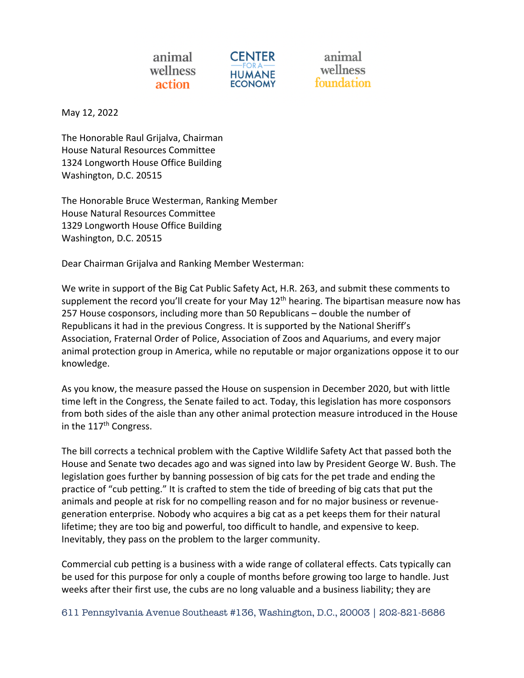

animal wellness

May 12, 2022

The Honorable Raul Grijalva, Chairman House Natural Resources Committee 1324 Longworth House Office Building Washington, D.C. 20515

The Honorable Bruce Westerman, Ranking Member House Natural Resources Committee 1329 Longworth House Office Building Washington, D.C. 20515

Dear Chairman Grijalva and Ranking Member Westerman:

We write in support of the Big Cat Public Safety Act, H.R. 263, and submit these comments to supplement the record you'll create for your May  $12<sup>th</sup>$  hearing. The bipartisan measure now has 257 House cosponsors, including more than 50 Republicans – double the number of Republicans it had in the previous Congress. It is supported by the National Sheriff's Association, Fraternal Order of Police, Association of Zoos and Aquariums, and every major animal protection group in America, while no reputable or major organizations oppose it to our knowledge.

As you know, the measure passed the House on suspension in December 2020, but with little time left in the Congress, the Senate failed to act. Today, this legislation has more cosponsors from both sides of the aisle than any other animal protection measure introduced in the House in the 117<sup>th</sup> Congress.

The bill corrects a technical problem with the Captive Wildlife Safety Act that passed both the House and Senate two decades ago and was signed into law by President George W. Bush. The legislation goes further by banning possession of big cats for the pet trade and ending the practice of "cub petting." It is crafted to stem the tide of breeding of big cats that put the animals and people at risk for no compelling reason and for no major business or revenuegeneration enterprise. Nobody who acquires a big cat as a pet keeps them for their natural lifetime; they are too big and powerful, too difficult to handle, and expensive to keep. Inevitably, they pass on the problem to the larger community.

Commercial cub petting is a business with a wide range of collateral effects. Cats typically can be used for this purpose for only a couple of months before growing too large to handle. Just weeks after their first use, the cubs are no long valuable and a business liability; they are

611 Pennsylvania Avenue Southeast #136, Washington, D.C., 20003 | 202-821-5686